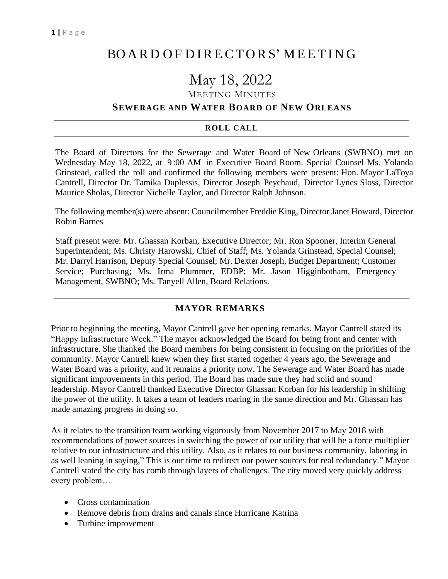# BO A R D O F D I RE CTO RS' M EET I N G

# May 18, 2022

### MEETING MINUTES

### **SEWERAGE AND WATER BOARD OF NEW ORLEANS**

#### **ROLL CALL**

The Board of Directors for the Sewerage and Water Board of New Orleans (SWBNO) met on Wednesday May 18, 2022, at 9 :00 AM in Executive Board Room. Special Counsel Ms. Yolanda Grinstead, called the roll and confirmed the following members were present: Hon. Mayor LaToya Cantrell, Director Dr. Tamika Duplessis, Director Joseph Peychaud, Director Lynes Sloss, Director Maurice Sholas, Director Nichelle Taylor, and Director Ralph Johnson.

The following member(s) were absent: Councilmember Freddie King, Director Janet Howard, Director Robin Barnes

Staff present were: Mr. Ghassan Korban, Executive Director; Mr. Ron Spooner, Interim General Superintendent; Ms. Christy Harowski, Chief of Staff; Ms. Yolanda Grinstead, Special Counsel; Mr. Darryl Harrison, Deputy Special Counsel; Mr. Dexter Joseph, Budget Department; Customer Service; Purchasing; Ms. Irma Plummer, EDBP; Mr. Jason Higginbotham, Emergency Management, SWBNO; Ms. Tanyell Allen, Board Relations.

#### **MAYOR REMARKS**

Prior to beginning the meeting, Mayor Cantrell gave her opening remarks. Mayor Cantrell stated its "Happy Infrastructure Week." The mayor acknowledged the Board for being front and center with infrastructure. She thanked the Board members for being consistent in focusing on the priorities of the community. Mayor Cantrell knew when they first started together 4 years ago, the Sewerage and Water Board was a priority, and it remains a priority now. The Sewerage and Water Board has made significant improvements in this period. The Board has made sure they had solid and sound leadership. Mayor Cantrell thanked Executive Director Ghassan Korban for his leadership in shifting the power of the utility. It takes a team of leaders roaring in the same direction and Mr. Ghassan has made amazing progress in doing so.

As it relates to the transition team working vigorously from November 2017 to May 2018 with recommendations of power sources in switching the power of our utility that will be a force multiplier relative to our infrastructure and this utility. Also, as it relates to our business community, laboring in as well leaning in saying," This is our time to redirect our power sources for real redundancy." Mayor Cantrell stated the city has comb through layers of challenges. The city moved very quickly address every problem….

- Cross contamination
- Remove debris from drains and canals since Hurricane Katrina
- Turbine improvement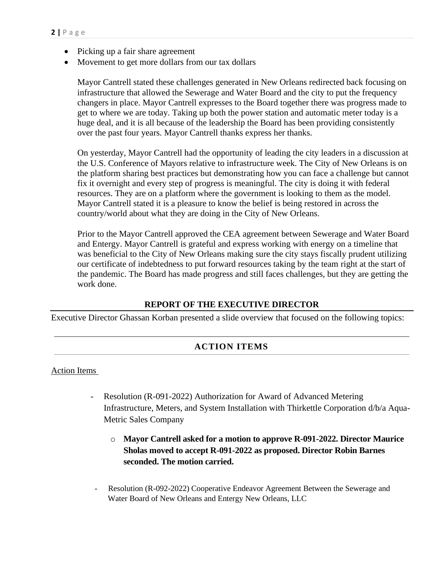- Picking up a fair share agreement
- Movement to get more dollars from our tax dollars

Mayor Cantrell stated these challenges generated in New Orleans redirected back focusing on infrastructure that allowed the Sewerage and Water Board and the city to put the frequency changers in place. Mayor Cantrell expresses to the Board together there was progress made to get to where we are today. Taking up both the power station and automatic meter today is a huge deal, and it is all because of the leadership the Board has been providing consistently over the past four years. Mayor Cantrell thanks express her thanks.

On yesterday, Mayor Cantrell had the opportunity of leading the city leaders in a discussion at the U.S. Conference of Mayors relative to infrastructure week. The City of New Orleans is on the platform sharing best practices but demonstrating how you can face a challenge but cannot fix it overnight and every step of progress is meaningful. The city is doing it with federal resources. They are on a platform where the government is looking to them as the model. Mayor Cantrell stated it is a pleasure to know the belief is being restored in across the country/world about what they are doing in the City of New Orleans.

Prior to the Mayor Cantrell approved the CEA agreement between Sewerage and Water Board and Entergy. Mayor Cantrell is grateful and express working with energy on a timeline that was beneficial to the City of New Orleans making sure the city stays fiscally prudent utilizing our certificate of indebtedness to put forward resources taking by the team right at the start of the pandemic. The Board has made progress and still faces challenges, but they are getting the work done.

### **REPORT OF THE EXECUTIVE DIRECTOR**

Executive Director Ghassan Korban presented a slide overview that focused on the following topics:

## **ACTION ITEMS**

### Action Items

- Resolution (R-091-2022) Authorization for Award of Advanced Metering Infrastructure, Meters, and System Installation with Thirkettle Corporation d/b/a Aqua-Metric Sales Company
	- o **Mayor Cantrell asked for a motion to approve R-091-2022. Director Maurice Sholas moved to accept R-091-2022 as proposed. Director Robin Barnes seconded. The motion carried.**
- Resolution (R-092-2022) Cooperative Endeavor Agreement Between the Sewerage and Water Board of New Orleans and Entergy New Orleans, LLC